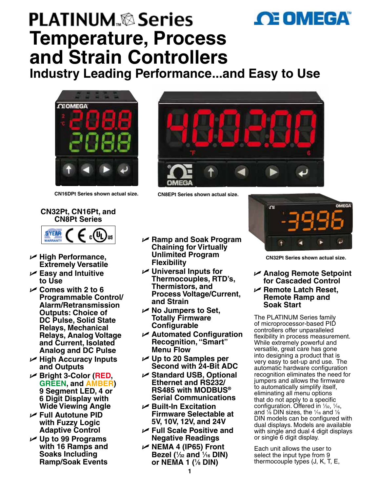

# **PLATINUM Series Temperature, Process and Strain Controllers**

**Industry Leading Performance...and Easy to Use**



**CN16DPt Series shown actual size. CN8EPt Series shown actual size.**







- U **High Performance, Extremely Versatile**
- U **Easy and Intuitive to Use**
- U **Comes with 2 to 6 Programmable Control/ Alarm/Retransmission Outputs: Choice of DC Pulse, Solid State Relays, Mechanical Relays, Analog Voltage and Current, Isolated Analog and DC Pulse**
- U **High Accuracy Inputs and Outputs**
- <sup>U</sup> **Bright 3-Color (RED, GREEN, and AMBER) 9 Segment LED, 4 or 6 Digit Display with Wide Viewing Angle**
- U **Full Autotune PID with Fuzzy Logic Adaptive Control**
- U **Up to 99 Programs with 16 Ramps and Soaks Including Ramp/Soak Events**
- U **Ramp and Soak Program Chaining for Virtually Unlimited Program Flexibility**
- **∠** Universal Inputs for **Thermocouples, RTD's, Thermistors, and Process Voltage/Current, and Strain**
- U **No Jumpers to Set, Totally Firmware Configurable**
- U **Automated Configuration Recognition, "Smart" Menu Flow**
- U **Up to 20 Samples per Second with 24-Bit ADC**
- U **Standard USB, Optional Ethernet and RS232/ RS485 with MODBUS® Serial Communications**
- U **Built-In Excitation Firmware Selectable at 5V, 10V, 12V, and 24V**
- U **Full Scale Positive and Negative Readings**
- U **NEMA 4 (IP65) Front Bezel (1 ⁄32 and 1 ⁄16 DIN) or NEMA 1 (1 ⁄8 DIN)**



**CN32Pt Series shown actual size.**

## U **Analog Remote Setpoint for Cascaded Control** U **Remote Latch Reset, Remote Ramp and**

**Soak Start** 

The PLATINUM Series family of microprocessor-based PID controllers offer unparalleled flexibility in process measurement. While extremely powerful and versatile, great care has gone into designing a product that is very easy to set-up and use. The automatic hardware configuration recognition eliminates the need for jumpers and allows the firmware to automatically simplify itself, eliminating all menu options that do not apply to a specific configuration. Offered in  $\frac{1}{32}$ ,  $\frac{1}{16}$ , and  $\frac{1}{6}$  DIN sizes, the  $\frac{1}{16}$  and  $\frac{1}{8}$ DIN models can be configured with dual displays. Models are available with single and dual 4 digit displays or single 6 digit display.

Each unit allows the user to select the input type from 9 thermocouple types (J, K, T, E,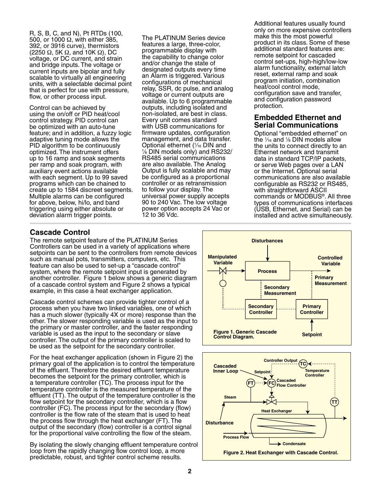R, S, B, C, and N), Pt RTDs (100, 500, or 1000 Ω, with either 385, 392, or 3916 curve), thermistors (2250  $\Omega$ , 5K  $\Omega$ , and 10K  $\Omega$ ), DC voltage, or DC current, and strain and bridge inputs. The voltage or current inputs are bipolar and fully scalable to virtually all engineering units, with a selectable decimal point that is perfect for use with pressure, flow, or other process input.

Control can be achieved by using the on/off or PID heat/cool control strategy. PID control can be optimized with an auto-tune feature; and in addition, a fuzzy logic adaptive tuning mode allows the PID algorithm to be continuously optimized. The instrument offers up to 16 ramp and soak segments per ramp and soak program, with auxiliary event actions available with each segment. Up to 99 saved programs which can be chained to create up to 1584 discreet segments. Multiple alarms can be configured for above, below, hi/lo, and band triggering using either absolute or deviation alarm trigger points.

The PLATINUM Series device features a large, three-color, programmable display with the capability to change color and/or change the state of designated outputs every time an Alarm is triggered. Various configurations of mechanical relay, SSR, dc pulse, and analog voltage or current outputs are available. Up to 6 programmable outputs, including isolated and non-isolated, are best in class. Every unit comes standard with USB communications for firmware updates, configuration management, and data transfer. Optional ethernet (1⁄16 DIN and<br>1⁄6 DIN models only) and BS231 ⁄8 DIN models only) and RS232/ RS485 serial communications are also available. The Analog Output is fully scalable and may be configured as a proportional controller or as retransmission to follow your display. The universal power supply accepts 90 to 240 Vac. The low voltage power option accepts 24 Vac or 12 to 36 Vdc.

Additional features usually found only on more expensive controllers make this the most powerful product in its class. Some of these additional standard features are: remote setpoint for cascaded control set-ups, high-high/low-low alarm functionality, external latch reset, external ramp and soak program initiation, combination heat/cool control mode, configuration save and transfer, and configuration password protection.

## **Embedded Ethernet and Serial Communications**

Optional "embedded ethernet" on the  $\frac{1}{16}$  and  $\frac{1}{8}$  DIN models allow the units to connect directly to an Ethernet network and transmit data in standard TCP/IP packets, or serve Web pages over a LAN or the Internet. Optional serial communications are also available configurable as RS232 or RS485, with straightforward ASCII commands or MODBUS®. All three types of communications interfaces (USB, Ethernet, and Serial) can be installed and active simultaneously.

# **Cascade Control**

The remote setpoint feature of the PLATINUM Series Controllers can be used in a variety of applications where setpoints can be sent to the controllers from remote devices such as manual pots, transmitters, computers, etc. This feature can also be used to set-up a "cascade control" system, where the remote setpoint input is generated by another controller. Figure 1 below shows a generic diagram of a cascade control system and Figure 2 shows a typical example, in this case a heat exchanger application.

Cascade control schemes can provide tighter control of a process when you have two linked variables, one of which has a much slower (typically 4X or more) response than the other. The slower responding variable is used as the input to the primary or master controller, and the faster responding variable is used as the input to the secondary or slave controller. The output of the primary controller is scaled to be used as the setpoint for the secondary controller.

For the heat exchanger application (shown in Figure 2) the primary goal of the application is to control the temperature of the effluent. Therefore the desired effluent temperature becomes the setpoint for the primary controller, which is a temperature controller (TC). The process input for the temperature controller is the measured temperature of the effluent (TT). The output of the temperature controller is the flow setpoint for the secondary controller, which is a flow controller (FC). The process input for the secondary (flow) controller is the flow rate of the steam that is used to heat the process flow through the heat exchanger (FT). The output of the secondary (flow) controller is a control signal for the proportional valve controlling the flow of the steam.

By isolating the slowly changing effluent temperature control loop from the rapidly changing flow control loop, a more predictable, robust, and tighter control scheme results.



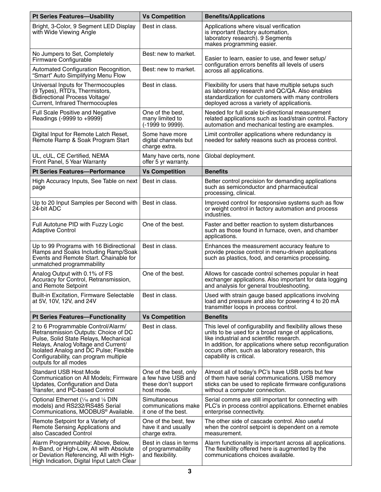| <b>Pt Series Features-Usability</b>                                                                                                                                                                                                                                    | <b>Vs Competition</b>                                                            | <b>Benefits/Applications</b>                                                                                                                                                                                                                                                                             |  |
|------------------------------------------------------------------------------------------------------------------------------------------------------------------------------------------------------------------------------------------------------------------------|----------------------------------------------------------------------------------|----------------------------------------------------------------------------------------------------------------------------------------------------------------------------------------------------------------------------------------------------------------------------------------------------------|--|
| Bright, 3-Color, 9 Segment LED Display<br>with Wide Viewing Angle                                                                                                                                                                                                      | Best in class.                                                                   | Applications where visual verification<br>is important (factory automation,<br>laboratory research). 9 Segments<br>makes programming easier.                                                                                                                                                             |  |
| No Jumpers to Set, Completely<br>Firmware Configurable                                                                                                                                                                                                                 | Best: new to market.                                                             | Easier to learn, easier to use, and fewer setup/                                                                                                                                                                                                                                                         |  |
| Automated Configuration Recognition,<br>"Smart" Auto Simplifying Menu Flow                                                                                                                                                                                             | Best: new to market.                                                             | configuration errors benefits all levels of users<br>across all applications.                                                                                                                                                                                                                            |  |
| Universal Inputs for Thermocouples<br>(9 Types), RTD's, Thermistors,<br>Bidirectional Process Voltage/<br>Current, Infrared Thermocouples                                                                                                                              | Best in class.                                                                   | Flexibility for users that have multiple setups such<br>as laboratory research and QC/QA. Also enables<br>standardization for customers with many controllers<br>deployed across a variety of applications.                                                                                              |  |
| <b>Full Scale Positive and Negative</b><br>Readings (-9999 to +9999)                                                                                                                                                                                                   | One of the best.<br>many limited to<br>(-1999 to 9999).                          | Needed for full scale bi-directional measurement<br>related applications such as load/strain control. Factory<br>automation and mechanical testing are examples.                                                                                                                                         |  |
| Digital Input for Remote Latch Reset,<br>Remote Ramp & Soak Program Start                                                                                                                                                                                              | Some have more<br>digital channels but<br>charge extra.                          | Limit controller applications where redundancy is<br>needed for safety reasons such as process control.                                                                                                                                                                                                  |  |
| UL, cUL, CE Certified, NEMA<br>Front Panel, 5 Year Warranty                                                                                                                                                                                                            | Many have certs, none<br>offer 5 yr warranty.                                    | Global deployment.                                                                                                                                                                                                                                                                                       |  |
| <b>Pt Series Features-Performance</b>                                                                                                                                                                                                                                  | <b>Vs Competition</b>                                                            | <b>Benefits</b>                                                                                                                                                                                                                                                                                          |  |
| High Accuracy Inputs, See Table on next<br>page                                                                                                                                                                                                                        | Best in class.                                                                   | Better control precision for demanding applications<br>such as semiconductor and pharmaceutical<br>processing, clinical.                                                                                                                                                                                 |  |
| Up to 20 Input Samples per Second with<br>24-bit ADC                                                                                                                                                                                                                   | Best in class.                                                                   | Improved control for responsive systems such as flow<br>or weight control in factory automation and process<br>industries.                                                                                                                                                                               |  |
| Full Autotune PID with Fuzzy Logic<br><b>Adaptive Control</b>                                                                                                                                                                                                          | One of the best.                                                                 | Faster and better reaction to system disturbances<br>such as those found in furnace, oven, and chamber<br>applications.                                                                                                                                                                                  |  |
| Up to 99 Programs with 16 Bidirectional<br>Ramps and Soaks Including Ramp/Soak<br>Events and Remote Start. Chainable for<br>unmatched programmability                                                                                                                  | Best in class.                                                                   | Enhances the measurement accuracy feature to<br>provide precise control in menu-driven applications<br>such as plastics, food, and ceramics processing.                                                                                                                                                  |  |
| Analog Output with 0.1% of FS<br>Accuracy for Control, Retransmission,<br>and Remote Setpoint                                                                                                                                                                          | One of the best.                                                                 | Allows for cascade control schemes popular in heat<br>exchanger applications. Also important for data logging<br>and analysis for general troubleshooting.                                                                                                                                               |  |
| <b>Built-in Excitation, Firmware Selectable</b><br>at 5V, 10V, 12V, and 24V                                                                                                                                                                                            | Best in class.                                                                   | Used with strain gauge based applications involving<br>load and pressure and also for powering 4 to 20 mA<br>transmitter loops in process control.                                                                                                                                                       |  |
| <b>Pt Series Features-Functionality</b>                                                                                                                                                                                                                                | <b>Vs Competition</b>                                                            | <b>Benefits</b>                                                                                                                                                                                                                                                                                          |  |
| 2 to 6 Programmable Control/Alarm/<br>Retransmission Outputs: Choice of DC<br>Pulse, Solid State Relays, Mechanical<br>Relays, Analog Voltage and Current/<br>Isolated Analog and DC Pulse; Flexible<br>Configurability, can program multiple<br>outputs for all modes | Best in class.                                                                   | This level of configurability and flexibility allows these<br>units to be used for a broad range of applications,<br>like industrial and scientific research.<br>In addition, for applications where setup reconfiguration<br>occurs often, such as laboratory research, this<br>capability is critical. |  |
| <b>Standard USB Host Mode</b><br>Communication on All Models; Firmware<br>Updates, Configuration and Data<br>Transfer, and PC-based Control                                                                                                                            | One of the best, only<br>a few have USB and<br>these don't support<br>host mode. | Almost all of today's PC's have USB ports but few<br>of them have serial communications. USB memory<br>sticks can be used to replicate firmware configurations<br>without a computer connection.                                                                                                         |  |
| Optional Ethernet ( $\frac{1}{6}$ and $\frac{1}{8}$ DIN<br>models) and RS232/RS485 Serial<br>Communications, MODBUS <sup>®</sup> Available.                                                                                                                            | Simultaneous<br>communications make<br>it one of the best.                       | Serial comms are still important for connecting with<br>PLC's in process control applications. Ethernet enables<br>enterprise connectivity.                                                                                                                                                              |  |
| Remote Setpoint for a Variety of<br>Remote Sensing Applications and<br>also Cascaded Control                                                                                                                                                                           | One of the best, few<br>have it and usually<br>charge extra.                     | The other side of cascade control. Also useful<br>when the control setpoint is dependent on a remote<br>measurement.                                                                                                                                                                                     |  |
| Alarm Programmablity: Above, Below,<br>In-Band, or High-Low, All with Absolute<br>or Deviation Referencing, All with High-<br>High Indication, Digital Input Latch Clear                                                                                               | Best in class in terms<br>of programmability<br>and flexibility.                 | Alarm functionality is important across all applications.<br>The flexibility offered here is augmented by the<br>communications choices available.                                                                                                                                                       |  |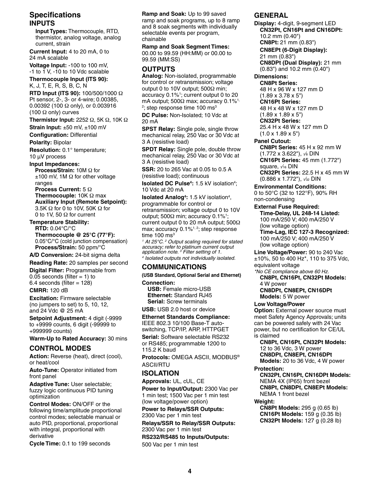## **Specifications INPUTS**

 **Input Types:** Thermocouple, RTD, thermistor, analog voltage, analog current, strain

**Current Input:** 4 to 20 mA, 0 to 24 mA scalable

**Voltage Input:** -100 to 100 mV, -1 to 1 V, -10 to 10 Vdc scalable

**Thermocouple Input (ITS 90):** K, J, T, E, R, S, B, C, N

**RTD Input (ITS 90):** 100/500/1000 Ω Pt sensor, 2-, 3- or 4-wire; 0.00385, 0.00392 (100 Ω only), or 0.003916 (100  $\Omega$  only) curves

**Thermistor Input:** 2252 Ω, 5K Ω, 10K Ω

**Strain Input:** ±50 mV, ±100 mV

**Configuration:** Differential

**Polarity:** Bipolar

**Resolution:** 0.1° temperature; 10 µV process

**Input Impedances:**

 **Process/Strain:** 10M Ω for  $±100$  mV, 1M  $\Omega$  for other voltage ranges

**Process Current:** 5 Ω **Thermocouple:** 10K Ω max **Auxiliary Input (Remote Setpoint):** 3.5K Ω for 0 to 10V, 50K Ω for 0 to 1V, 50 Ω for current

**Temperature Stability: RTD:** 0.04°C/°C **Thermocouple @ 25°C (77°F):** 0.05°C/°C (cold junction compensation) **Process/Strain:** 50 ppm/°C

**A/D Conversion:** 24-bit sigma delta

**Reading Rate:** 20 samples per second **Digital Filter:** Programmable from

0.05 seconds (filter  $= 1$ ) to  $6.4$  seconds (filter = 128)

**CMRR:** 120 dB

**Excitation:** Firmware selectable (no jumpers to set) to 5, 10, 12, and 24 Vdc @ 25 mA

**Setpoint Adjustment:** 4 digit (-9999 to +9999 counts, 6 digit (-99999 to +999999 counts)

**Warm-Up to Rated Accuracy:** 30 mins

### **CONTROL MODES**

Action: Reverse (heat), direct (cool), or heat/cool

**Auto-Tune:** Operator initiated from front panel

**Adaptive Tune:** User selectable; fuzzy logic continuous PID tuning optimization

**Control Modes:** ON/OFF or the following time/amplitude proportional control modes; selectable manual or auto PID, proportional, proportional with integral, proportional with derivative

**Cycle Time:** 0.1 to 199 seconds

**Ramp and Soak:** Up to 99 saved ramp and soak programs, up to 8 ramp and 8 soak segments with individually selectable events per program, chainable

**Ramp and Soak Segment Times:** 00.00 to 99.59 (HH:MM) or 00.00 to 99.59 (MM:SS)

#### **OUTPUTS**

**Analog:** Non-isolated, programmable for control or retransmission; voltage output 0 to 10V output; 500Ω min; accuracy 0.1%1 ; current output 0 to 20 mA output; 500 $Ω$  max; accuracy 0.1%<sup>1,</sup>  $^{\rm 2}$ ; step response time 100 ms $^{\rm 3}$ 

**DC Pulse:** Non-Isolated; 10 Vdc at 20 mA

**SPST Relay:** Single pole, single throw mechanical relay, 250 Vac or 30 Vdc at 3 A (resistive load)

**SPDT Relay:** Single pole, double throw mechanical relay, 250 Vac or 30 Vdc at 3 A (resistive load)

**SSR:** 20 to 265 Vac at 0.05 to 0.5 A (resistive load); continuous

**Isolated DC Pulse<sup>4</sup>: 1.5 kV isolation<sup>4</sup>;** 10 Vdc at 20 mA

**Isolated Analog<sup>4</sup>: 1.5 kV isolation<sup>4</sup>,** programmable for control or retransmission; voltage output 0 to 10V output; 500Ω min; accuracy 0.1%<sup>1</sup>; current output 0 to 20 mA output; 500Ω max; accuracy 0.1%<sup>1, 2</sup>; step response time  $100 \text{ ms}^3$ 

*1 At 25°C. 2 Output scaling required for stated accuracy; refer to platinum current output application note. <sup>3</sup> Filter setting of 1. 4 Isolated outputs not individually isolated.*

## **COMMUNICATIONS**

**(USB Standard, Optional Serial and Ethernet) Connection:** 

**USB:** Female micro-USB **Ethernet:** Standard RJ45 **Serial:** Screw terminals

**USB:** USB 2.0 host or device

**Ethernet Standards Compliance:** IEEE 802.3 10/100 Base-T autoswitching, TCP/IP, ARP, HTTPGET

**Serial:** Software selectable RS232 or RS485; programmable 1200 to 115.2 K baud

**Protocols:** OMEGA ASCII, MODBUS® ASCII/RTU

### **ISOLATION**

**Approvals:** UL, cUL, CE

**Power to Input/Output:** 2300 Vac per 1 min test; 1500 Vac per 1 min test (low voltage/power option)

**Power to Relays/SSR Outputs:** 2300 Vac per 1 min test

**Relays/SSR to Relay/SSR Outputs:** 2300 Vac per 1 min test

**RS232/RS485 to Inputs/Outputs:** 500 Vac per 1 min test

### **GENERAL**

**Display:** 4-digit, 9-segment LED **CN32Pt, CN16Pt and CN16DPt:** 10.2 mm (0.40") **CN8Pt:** 21 mm (0.83")  **CN8EPt (6-Digit Display):** 21 mm (0.83") **CN8DPt (Dual Display):** 21 mm (0.83") and 10.2 mm (0.40")

#### **Dimensions:**

**CN8Pt Series:** 48 H x 96 W x 127 mm D (1.89 x 3.78 x 5") **CN16Pt Series:** 48 H x 48 W x 127 mm D (1.89 x 1.89 x 5") **CN32Pt Series:** 25.4 H x 48 W x 127 mm D (1.0 x 1.89 x 5")

**Panel Cutout: CN8Pt Series:** 45 H x 92 mm W (1.772 x 3.622"), √s DIN **CN16Pt Series:** 45 mm (1.772") square,  $\frac{1}{16}$  DIN **CN32Pt Series:** 22.5 H x 45 mm W

(0.886 x 1.772"),  $\sqrt{32}$  DIN **Environmental Conditions:** 0 to 50°C (32 to 122°F), 90% RH

non-condensing **External Fuse Required: Time-Delay, UL 248-14 Listed:** 100 mA/250 V; 400 mA/250 V (low voltage option) **Time-Lag, IEC 127-3 Recognized:** 100 mA/250 V; 400 mA/250 V (low voltage option)

**Line Voltage/Power:** 90 to 240 Vac ±10%, 50 to 400 Hz\*, 110 to 375 Vdc, equivalent voltage

*\*No CE compliance above 60 Hz.* **CN8Pt, CN16Pt, CN32Pt Models:** 4 W power

**CN8DPt, CN8EPt, CN16DPt Models:** 5 W power

#### **Low Voltage/Power**

**Option: External power source must** meet Safety Agency Approvals; units can be powered safely with 24 Vac power, but no certification for CE/UL is claimed

**CN8Pt, CN16Pt, CN32Pt Models:** 12 to 36 Vdc, 3 W power **CN8DPt, CN8EPt, CN16DPt Models:** 20 to 36 Vdc, 4 W power

**Protection:**

**CN32Pt, CN16Pt, CN16DPt Models:** NEMA 4X (IP65) front bezel **CN8Pt, CN8DPt, CN8EPt Models:** NEMA 1 front bezel

**Weight:**

**CN8Pt Models:** 295 g (0.65 lb) **CN16Pt Models:** 159 g (0.35 lb) **CN32Pt Models:** 127 g (0.28 lb)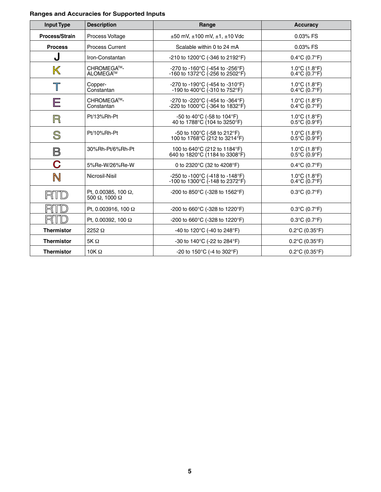# **Ranges and Accuracies for Supported Inputs**

| <b>Input Type</b>         | <b>Description</b>                                          | Range                                                                                      | <b>Accuracy</b>                                                           |
|---------------------------|-------------------------------------------------------------|--------------------------------------------------------------------------------------------|---------------------------------------------------------------------------|
| Process/Strain            | Process Voltage                                             | $\pm 50$ mV, $\pm 100$ mV, $\pm 1$ , $\pm 10$ Vdc                                          | 0.03% FS                                                                  |
| <b>Process</b>            | <b>Process Current</b>                                      | Scalable within 0 to 24 mA                                                                 | 0.03% FS                                                                  |
| J                         | Iron-Constantan                                             | -210 to 1200°C (-346 to 2192°F)                                                            | $0.4^{\circ}$ C (0.7 $^{\circ}$ F)                                        |
| $\boldsymbol{\mathbb{K}}$ | CHROMEGA™-<br>ALOMEGA™                                      | -270 to -160°C (-454 to -256°F)<br>-160 to 1372°C (-256 to 2502°F)                         | $1.0^{\circ}$ C (1.8 $^{\circ}$ F)<br>$0.4^{\circ}$ C (0.7 $^{\circ}$ F)  |
| $\overline{\mathbb{T}}$   | Copper-<br>Constantan                                       | -270 to -190°C (-454 to -310°F)<br>-190 to 400°C $(-310 \text{ to } 752^{\circ} \text{F})$ | $1.0^{\circ}$ C (1.8 $^{\circ}$ F)<br>$0.4^{\circ}$ C (0.7°F)             |
| E                         | CHROMEGA™-<br>Constantan                                    | -270 to -220°C (-454 to -364°F)<br>-220 to 1000°C (-364 to 1832°F)                         | 1.0 $\degree$ C (1.8 $\degree$ F)<br>$0.4^{\circ}$ C (0.7 $^{\circ}$ F)   |
| R                         | Pt/13%Rh-Pt                                                 | -50 to 40 $^{\circ}$ C (-58 to 104 $^{\circ}$ F)<br>40 to 1788°C (104 to 3250°F)           | 1.0 $\degree$ C (1.8 $\degree$ F)<br>$0.5^{\circ}$ C (0.9 $^{\circ}$ F)   |
| S                         | Pt/10%Rh-Pt                                                 | -50 to 100°C (-58 to 212°F)<br>100 to 1768°C (212 to 3214°F)                               | 1.0 $\degree$ C (1.8 $\degree$ F)<br>$0.5^{\circ}$ C (0.9 $^{\circ}$ F)   |
| $\mathsf B$               | 30%Rh-Pt/6%Rh-Pt                                            | 100 to 640°C (212 to 1184°F)<br>640 to 1820°C (1184 to 3308°F)                             | 1.0 $^{\circ}$ C (1.8 $^{\circ}$ F)<br>$0.5^{\circ}$ C (0.9 $^{\circ}$ F) |
| $\mathbf C$               | 5%Re-W/26%Re-W                                              | 0 to 2320°C (32 to 4208°F)                                                                 | $0.4^{\circ}$ C (0.7 $^{\circ}$ F)                                        |
| $\mathbb N$               | Nicrosil-Nisil                                              | -250 to -100 $^{\circ}$ C (-418 to -148 $^{\circ}$ F)<br>-100 to 1300°C (-148 to 2372°F)   | $1.0^{\circ}$ C (1.8 $^{\circ}$ F)<br>$0.4^{\circ}$ C (0.7 $^{\circ}$ F)  |
| RTD                       | Pt, 0.00385, 100 $\Omega$ ,<br>500 $\Omega$ . 1000 $\Omega$ | -200 to 850°C (-328 to 1562°F)                                                             | $0.3^{\circ}$ C (0.7 $^{\circ}$ F)                                        |
|                           | Pt. 0.003916, 100 $\Omega$                                  | -200 to 660°C (-328 to 1220°F)                                                             | $0.3^{\circ}$ C (0.7 $^{\circ}$ F)                                        |
|                           | Pt. 0.00392, 100 $\Omega$                                   | -200 to 660°C (-328 to 1220°F)                                                             | $0.3^{\circ}$ C (0.7 $^{\circ}$ F)                                        |
| <b>Thermistor</b>         | 2252 $\Omega$                                               | -40 to 120 $^{\circ}$ C (-40 to 248 $^{\circ}$ F)                                          | $0.2^{\circ}$ C (0.35 $^{\circ}$ F)                                       |
| <b>Thermistor</b>         | 5K $\Omega$                                                 | -30 to 140 $^{\circ}$ C (-22 to 284 $^{\circ}$ F)                                          | $0.2^{\circ}$ C (0.35 $^{\circ}$ F)                                       |
| <b>Thermistor</b>         | 10K $\Omega$                                                | -20 to 150 $^{\circ}$ C (-4 to 302 $^{\circ}$ F)                                           | $0.2^{\circ}$ C (0.35 $^{\circ}$ F)                                       |